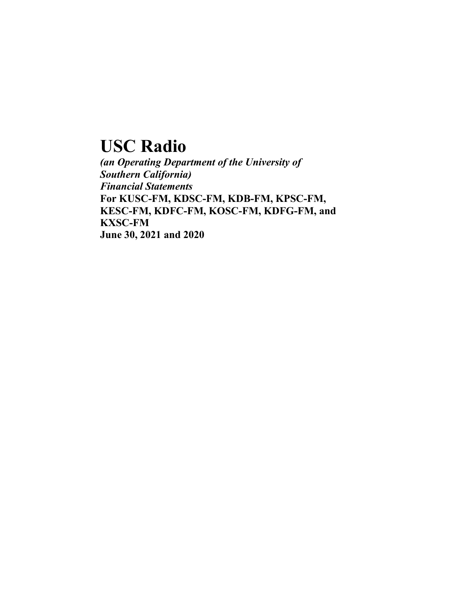# **USC Radio**

*(an Operating Department of the University of Southern California) Financial Statements* **For KUSC-FM, KDSC-FM, KDB-FM, KPSC-FM, KESC-FM, KDFC-FM, KOSC-FM, KDFG-FM, and KXSC-FM June 30, 2021 and 2020**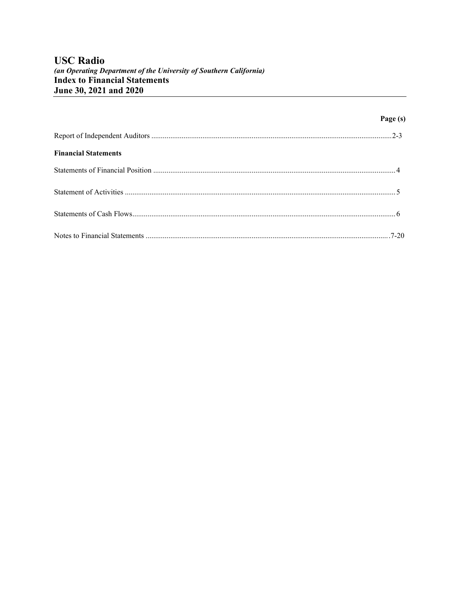# **USC Radio**

### (an Operating Department of the University of Southern California) **Index to Financial Statements** June 30, 2021 and 2020

|                             | Page (s) |
|-----------------------------|----------|
|                             |          |
| <b>Financial Statements</b> |          |
|                             |          |
|                             |          |
|                             |          |
|                             |          |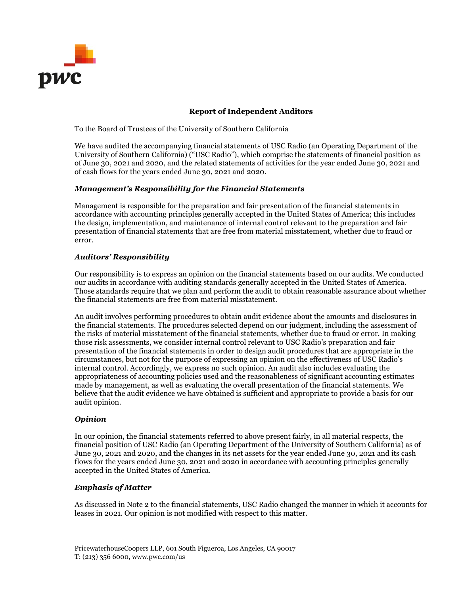

### Report of Independent Auditors

To the Board of Trustees of the University of Southern California

We have audited the accompanying financial statements of USC Radio (an Operating Department of the University of Southern California) ("USC Radio"), which comprise the statements of financial position as of June 30, 2021 and 2020, and the related statements of activities for the year ended June 30, 2021 and of cash flows for the years ended June 30, 2021 and 2020.

#### Management's Responsibility for the Financial Statements

Management is responsible for the preparation and fair presentation of the financial statements in accordance with accounting principles generally accepted in the United States of America; this includes the design, implementation, and maintenance of internal control relevant to the preparation and fair presentation of financial statements that are free from material misstatement, whether due to fraud or error.

#### Auditors' Responsibility

Our responsibility is to express an opinion on the financial statements based on our audits. We conducted our audits in accordance with auditing standards generally accepted in the United States of America. Those standards require that we plan and perform the audit to obtain reasonable assurance about whether the financial statements are free from material misstatement.

An audit involves performing procedures to obtain audit evidence about the amounts and disclosures in the financial statements. The procedures selected depend on our judgment, including the assessment of the risks of material misstatement of the financial statements, whether due to fraud or error. In making those risk assessments, we consider internal control relevant to USC Radio's preparation and fair presentation of the financial statements in order to design audit procedures that are appropriate in the circumstances, but not for the purpose of expressing an opinion on the effectiveness of USC Radio's internal control. Accordingly, we express no such opinion. An audit also includes evaluating the appropriateness of accounting policies used and the reasonableness of significant accounting estimates made by management, as well as evaluating the overall presentation of the financial statements. We believe that the audit evidence we have obtained is sufficient and appropriate to provide a basis for our audit opinion.

#### **Opinion**

In our opinion, the financial statements referred to above present fairly, in all material respects, the financial position of USC Radio (an Operating Department of the University of Southern California) as of June 30, 2021 and 2020, and the changes in its net assets for the year ended June 30, 2021 and its cash flows for the years ended June 30, 2021 and 2020 in accordance with accounting principles generally accepted in the United States of America.

#### Emphasis of Matter

As discussed in Note 2 to the financial statements, USC Radio changed the manner in which it accounts for leases in 2021. Our opinion is not modified with respect to this matter.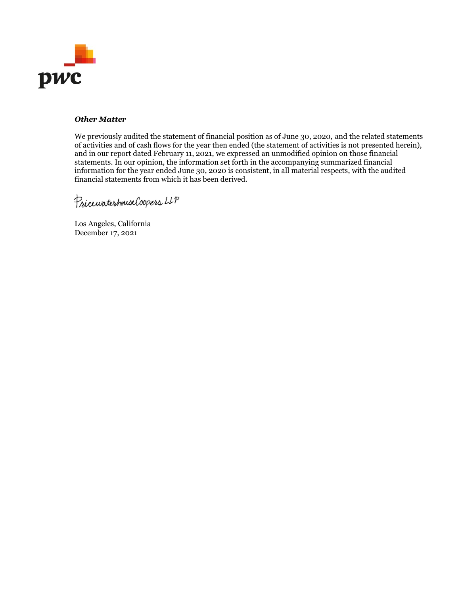

### Other Matter

We previously audited the statement of financial position as of June 30, 2020, and the related statements of activities and of cash flows for the year then ended (the statement of activities is not presented herein), and in our report dated February 11, 2021, we expressed an unmodified opinion on those financial statements. In our opinion, the information set forth in the accompanying summarized financial information for the year ended June 30, 2020 is consistent, in all material respects, with the audited financial statements from which it has been derived.

Psiccurateshouse Coopers LLP

Los Angeles, California December 17, 2021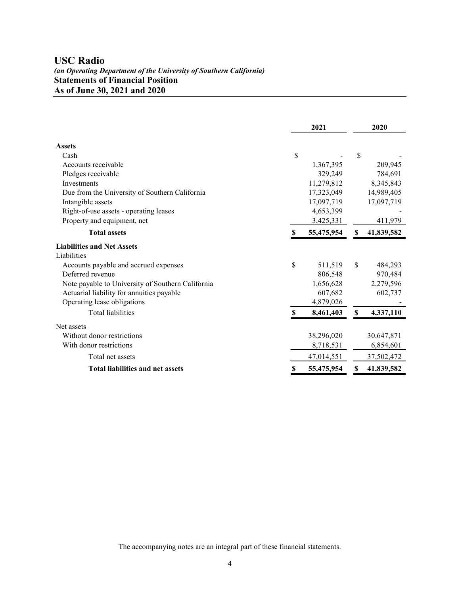# **USC Radio**

### *(an Operating Department of the University of Southern California)* **Statements of Financial Position As of June 30, 2021 and 2020**

|                                                   |    | 2021       |    | 2020       |
|---------------------------------------------------|----|------------|----|------------|
| <b>Assets</b>                                     |    |            |    |            |
| Cash                                              | \$ |            | \$ |            |
| Accounts receivable                               |    | 1,367,395  |    | 209,945    |
| Pledges receivable                                |    | 329,249    |    | 784,691    |
| Investments                                       |    | 11,279,812 |    | 8,345,843  |
| Due from the University of Southern California    |    | 17,323,049 |    | 14,989,405 |
| Intangible assets                                 |    | 17,097,719 |    | 17,097,719 |
| Right-of-use assets - operating leases            |    | 4,653,399  |    |            |
| Property and equipment, net                       |    | 3,425,331  |    | 411,979    |
| <b>Total assets</b>                               | S  | 55,475,954 | \$ | 41,839,582 |
| <b>Liabilities and Net Assets</b>                 |    |            |    |            |
| Liabilities                                       |    |            |    |            |
| Accounts payable and accrued expenses             | \$ | 511,519    | \$ | 484,293    |
| Deferred revenue                                  |    | 806,548    |    | 970,484    |
| Note payable to University of Southern California |    | 1,656,628  |    | 2,279,596  |
| Actuarial liability for annuities payable         |    | 607,682    |    | 602,737    |
| Operating lease obligations                       |    | 4,879,026  |    |            |
| Total liabilities                                 | S  | 8,461,403  | \$ | 4,337,110  |
| Net assets                                        |    |            |    |            |
| Without donor restrictions                        |    | 38,296,020 |    | 30,647,871 |
| With donor restrictions                           |    | 8,718,531  |    | 6,854,601  |
| Total net assets                                  |    | 47,014,551 |    | 37,502,472 |
| <b>Total liabilities and net assets</b>           | S  | 55,475,954 | S  | 41,839,582 |

The accompanying notes are an integral part of these financial statements.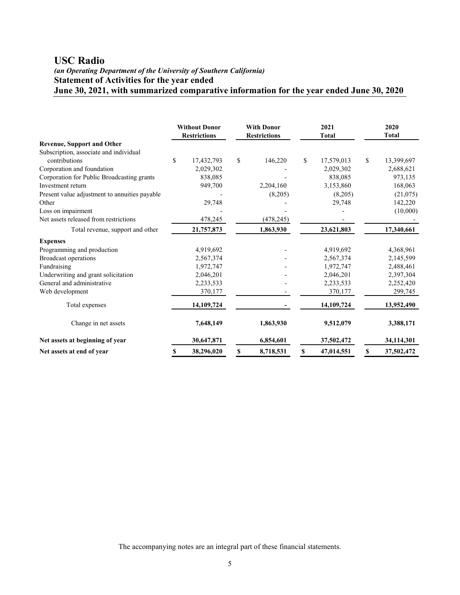# **USC Radio**

### *(an Operating Department of the University of Southern California)* **Statement of Activities for the year ended June 30, 2021, with summarized comparative information for the year ended June 30, 2020**

|                                               | <b>Without Donor</b><br><b>Restrictions</b> | <b>With Donor</b><br><b>Restrictions</b> |            | 2021<br><b>Total</b> |            |    |            | 2020<br><b>Total</b> |  |
|-----------------------------------------------|---------------------------------------------|------------------------------------------|------------|----------------------|------------|----|------------|----------------------|--|
| <b>Revenue, Support and Other</b>             |                                             |                                          |            |                      |            |    |            |                      |  |
| Subscription, associate and individual        |                                             |                                          |            |                      |            |    |            |                      |  |
| contributions                                 | \$<br>17,432,793                            | \$                                       | 146,220    | \$                   | 17,579,013 | \$ | 13,399,697 |                      |  |
| Corporation and foundation                    | 2,029,302                                   |                                          |            |                      | 2,029,302  |    | 2,688,621  |                      |  |
| Corporation for Public Broadcasting grants    | 838,085                                     |                                          |            |                      | 838.085    |    | 973,135    |                      |  |
| Investment return                             | 949,700                                     |                                          | 2,204,160  |                      | 3,153,860  |    | 168,063    |                      |  |
| Present value adjustment to annuities payable |                                             |                                          | (8,205)    |                      | (8,205)    |    | (21,075)   |                      |  |
| Other                                         | 29,748                                      |                                          |            |                      | 29,748     |    | 142,220    |                      |  |
| Loss on impairment                            |                                             |                                          |            |                      |            |    | (10,000)   |                      |  |
| Net assets released from restrictions         | 478,245                                     |                                          | (478, 245) |                      |            |    |            |                      |  |
| Total revenue, support and other              | 21,757,873                                  |                                          | 1,863,930  |                      | 23,621,803 |    | 17,340,661 |                      |  |
| <b>Expenses</b>                               |                                             |                                          |            |                      |            |    |            |                      |  |
| Programming and production                    | 4,919,692                                   |                                          |            |                      | 4,919,692  |    | 4,368,961  |                      |  |
| <b>Broadcast operations</b>                   | 2,567,374                                   |                                          |            |                      | 2,567,374  |    | 2,145,599  |                      |  |
| Fundraising                                   | 1,972,747                                   |                                          |            |                      | 1,972,747  |    | 2,488,461  |                      |  |
| Underwriting and grant solicitation           | 2,046,201                                   |                                          |            |                      | 2,046,201  |    | 2,397,304  |                      |  |
| General and administrative                    | 2,233,533                                   |                                          |            |                      | 2,233,533  |    | 2,252,420  |                      |  |
| Web development                               | 370,177                                     |                                          |            |                      | 370,177    |    | 299,745    |                      |  |
| Total expenses                                | 14,109,724                                  |                                          |            |                      | 14,109,724 |    | 13,952,490 |                      |  |
| Change in net assets                          | 7,648,149                                   |                                          | 1,863,930  |                      | 9,512,079  |    | 3,388,171  |                      |  |
| Net assets at beginning of year               | 30,647,871                                  |                                          | 6,854,601  |                      | 37,502,472 |    | 34,114,301 |                      |  |
| Net assets at end of year                     | 38,296,020                                  | S                                        | 8,718,531  | S                    | 47,014,551 | S  | 37,502,472 |                      |  |

The accompanying notes are an integral part of these financial statements.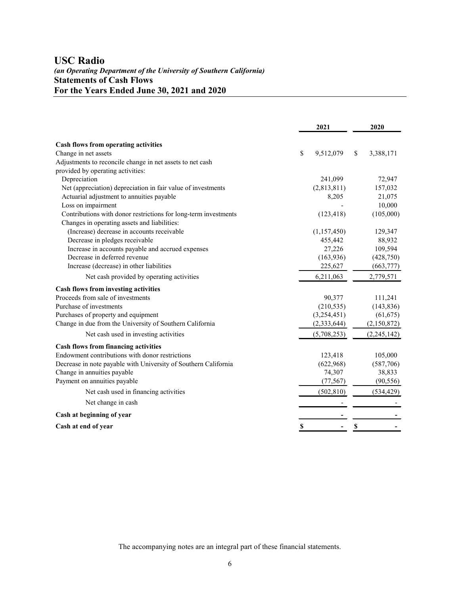## **USC Radio** *(an Operating Department of the University of Southern California)* **Statements of Cash Flows For the Years Ended June 30, 2021 and 2020**

|                                                                 |    | 2021          | 2020            |
|-----------------------------------------------------------------|----|---------------|-----------------|
| Cash flows from operating activities                            |    |               |                 |
| Change in net assets                                            | \$ | 9,512,079     | \$<br>3,388,171 |
| Adjustments to reconcile change in net assets to net cash       |    |               |                 |
| provided by operating activities:                               |    |               |                 |
| Depreciation                                                    |    | 241,099       | 72,947          |
| Net (appreciation) depreciation in fair value of investments    |    | (2,813,811)   | 157,032         |
| Actuarial adjustment to annuities payable                       |    | 8,205         | 21,075          |
| Loss on impairment                                              |    |               | 10,000          |
| Contributions with donor restrictions for long-term investments |    | (123, 418)    | (105,000)       |
| Changes in operating assets and liabilities:                    |    |               |                 |
| (Increase) decrease in accounts receivable                      |    | (1,157,450)   | 129,347         |
| Decrease in pledges receivable                                  |    | 455,442       | 88,932          |
| Increase in accounts payable and accrued expenses               |    | 27,226        | 109,594         |
| Decrease in deferred revenue                                    |    | (163, 936)    | (428,750)       |
| Increase (decrease) in other liabilities                        |    | 225,627       | (663, 777)      |
| Net cash provided by operating activities                       |    | 6,211,063     | 2,779,571       |
| <b>Cash flows from investing activities</b>                     |    |               |                 |
| Proceeds from sale of investments                               |    | 90,377        | 111,241         |
| Purchase of investments                                         |    | (210, 535)    | (143, 836)      |
| Purchases of property and equipment                             |    | (3,254,451)   | (61, 675)       |
| Change in due from the University of Southern California        |    | (2, 333, 644) | (2,150,872)     |
| Net cash used in investing activities                           |    | (5,708,253)   | (2,245,142)     |
| <b>Cash flows from financing activities</b>                     |    |               |                 |
| Endowment contributions with donor restrictions                 |    | 123,418       | 105,000         |
| Decrease in note payable with University of Southern California |    | (622,968)     | (587,706)       |
| Change in annuities payable                                     |    | 74,307        | 38,833          |
| Payment on annuities payable                                    |    | (77, 567)     | (90, 556)       |
| Net cash used in financing activities                           |    | (502, 810)    | (534, 429)      |
| Net change in cash                                              |    |               |                 |
| Cash at beginning of year                                       |    |               |                 |
| Cash at end of year                                             | S  |               | \$              |

The accompanying notes are an integral part of these financial statements.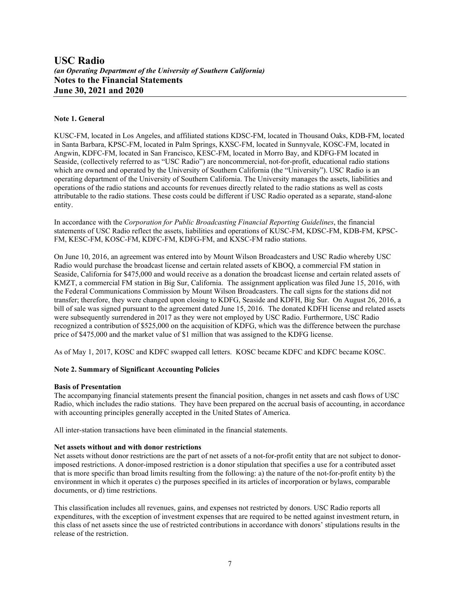#### **Note 1. General**

KUSC-FM, located in Los Angeles, and affiliated stations KDSC-FM, located in Thousand Oaks, KDB-FM, located in Santa Barbara, KPSC-FM, located in Palm Springs, KXSC-FM, located in Sunnyvale, KOSC-FM, located in Angwin, KDFC-FM, located in San Francisco, KESC-FM, located in Morro Bay, and KDFG-FM located in Seaside, (collectively referred to as "USC Radio") are noncommercial, not-for-profit, educational radio stations which are owned and operated by the University of Southern California (the "University"). USC Radio is an operating department of the University of Southern California. The University manages the assets, liabilities and operations of the radio stations and accounts for revenues directly related to the radio stations as well as costs attributable to the radio stations. These costs could be different if USC Radio operated as a separate, stand-alone entity.

In accordance with the *Corporation for Public Broadcasting Financial Reporting Guidelines*, the financial statements of USC Radio reflect the assets, liabilities and operations of KUSC-FM, KDSC-FM, KDB-FM, KPSC-FM, KESC-FM, KOSC-FM, KDFC-FM, KDFG-FM, and KXSC-FM radio stations.

On June 10, 2016, an agreement was entered into by Mount Wilson Broadcasters and USC Radio whereby USC Radio would purchase the broadcast license and certain related assets of KBOQ, a commercial FM station in Seaside, California for \$475,000 and would receive as a donation the broadcast license and certain related assets of KMZT, a commercial FM station in Big Sur, California. The assignment application was filed June 15, 2016, with the Federal Communications Commission by Mount Wilson Broadcasters. The call signs for the stations did not transfer; therefore, they were changed upon closing to KDFG, Seaside and KDFH, Big Sur. On August 26, 2016, a bill of sale was signed pursuant to the agreement dated June 15, 2016. The donated KDFH license and related assets were subsequently surrendered in 2017 as they were not employed by USC Radio. Furthermore, USC Radio recognized a contribution of \$525,000 on the acquisition of KDFG, which was the difference between the purchase price of \$475,000 and the market value of \$1 million that was assigned to the KDFG license.

As of May 1, 2017, KOSC and KDFC swapped call letters. KOSC became KDFC and KDFC became KOSC.

#### **Note 2. Summary of Significant Accounting Policies**

#### **Basis of Presentation**

The accompanying financial statements present the financial position, changes in net assets and cash flows of USC Radio, which includes the radio stations. They have been prepared on the accrual basis of accounting, in accordance with accounting principles generally accepted in the United States of America.

All inter-station transactions have been eliminated in the financial statements.

#### **Net assets without and with donor restrictions**

Net assets without donor restrictions are the part of net assets of a not-for-profit entity that are not subject to donorimposed restrictions. A donor-imposed restriction is a donor stipulation that specifies a use for a contributed asset that is more specific than broad limits resulting from the following: a) the nature of the not-for-profit entity b) the environment in which it operates c) the purposes specified in its articles of incorporation or bylaws, comparable documents, or d) time restrictions.

This classification includes all revenues, gains, and expenses not restricted by donors. USC Radio reports all expenditures, with the exception of investment expenses that are required to be netted against investment return, in this class of net assets since the use of restricted contributions in accordance with donors' stipulations results in the release of the restriction.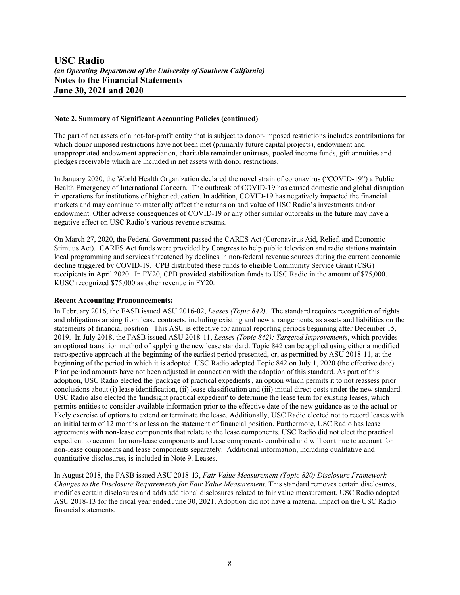#### **Note 2. Summary of Significant Accounting Policies (continued)**

The part of net assets of a not-for-profit entity that is subject to donor-imposed restrictions includes contributions for which donor imposed restrictions have not been met (primarily future capital projects), endowment and unappropriated endowment appreciation, charitable remainder unitrusts, pooled income funds, gift annuities and pledges receivable which are included in net assets with donor restrictions.

In January 2020, the World Health Organization declared the novel strain of coronavirus ("COVID-19") a Public Health Emergency of International Concern. The outbreak of COVID-19 has caused domestic and global disruption in operations for institutions of higher education. In addition, COVID-19 has negatively impacted the financial markets and may continue to materially affect the returns on and value of USC Radio's investments and/or endowment. Other adverse consequences of COVID-19 or any other similar outbreaks in the future may have a negative effect on USC Radio's various revenue streams.

On March 27, 2020, the Federal Government passed the CARES Act (Coronavirus Aid, Relief, and Economic Stimuus Act). CARES Act funds were provided by Congress to help public television and radio stations maintain local programming and services threatened by declines in non-federal revenue sources during the current economic decline triggered by COVID-19. CPB distributed these funds to eligible Community Service Grant (CSG) receipients in April 2020. In FY20, CPB provided stabilization funds to USC Radio in the amount of \$75,000. KUSC recognized \$75,000 as other revenue in FY20.

#### **Recent Accounting Pronouncements:**

In February 2016, the FASB issued ASU 2016-02, *Leases (Topic 842)*. The standard requires recognition of rights and obligations arising from lease contracts, including existing and new arrangements, as assets and liabilities on the statements of financial position. This ASU is effective for annual reporting periods beginning after December 15, 2019. In July 2018, the FASB issued ASU 2018-11, *Leases (Topic 842): Targeted Improvements*, which provides an optional transition method of applying the new lease standard. Topic 842 can be applied using either a modified retrospective approach at the beginning of the earliest period presented, or, as permitted by ASU 2018-11, at the beginning of the period in which it is adopted. USC Radio adopted Topic 842 on July 1, 2020 (the effective date). Prior period amounts have not been adjusted in connection with the adoption of this standard. As part of this adoption, USC Radio elected the 'package of practical expedients', an option which permits it to not reassess prior conclusions about (i) lease identification, (ii) lease classification and (iii) initial direct costs under the new standard. USC Radio also elected the 'hindsight practical expedient' to determine the lease term for existing leases, which permits entities to consider available information prior to the effective date of the new guidance as to the actual or likely exercise of options to extend or terminate the lease. Additionally, USC Radio elected not to record leases with an initial term of 12 months or less on the statement of financial position. Furthermore, USC Radio has lease agreements with non-lease components that relate to the lease components. USC Radio did not elect the practical expedient to account for non-lease components and lease components combined and will continue to account for non-lease components and lease components separately. Additional information, including qualitative and quantitative disclosures, is included in Note 9. Leases.

In August 2018, the FASB issued ASU 2018-13, *Fair Value Measurement (Topic 820) Disclosure Framework— Changes to the Disclosure Requirements for Fair Value Measurement*. This standard removes certain disclosures, modifies certain disclosures and adds additional disclosures related to fair value measurement. USC Radio adopted ASU 2018-13 for the fiscal year ended June 30, 2021. Adoption did not have a material impact on the USC Radio financial statements.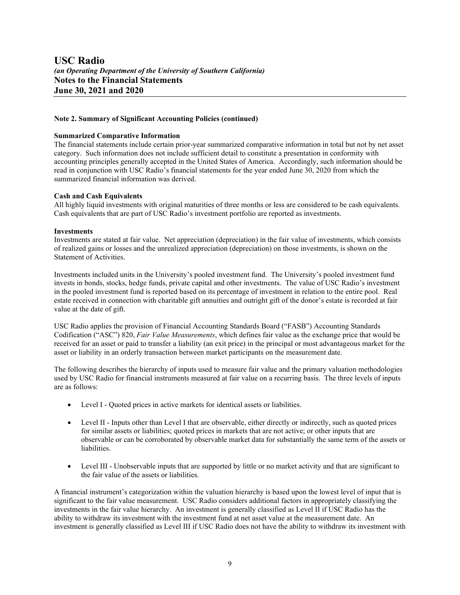#### **Note 2. Summary of Significant Accounting Policies (continued)**

#### **Summarized Comparative Information**

The financial statements include certain prior-year summarized comparative information in total but not by net asset category. Such information does not include sufficient detail to constitute a presentation in conformity with accounting principles generally accepted in the United States of America. Accordingly, such information should be read in conjunction with USC Radio's financial statements for the year ended June 30, 2020 from which the summarized financial information was derived.

#### **Cash and Cash Equivalents**

All highly liquid investments with original maturities of three months or less are considered to be cash equivalents. Cash equivalents that are part of USC Radio's investment portfolio are reported as investments.

#### **Investments**

Investments are stated at fair value. Net appreciation (depreciation) in the fair value of investments, which consists of realized gains or losses and the unrealized appreciation (depreciation) on those investments, is shown on the Statement of Activities.

Investments included units in the University's pooled investment fund. The University's pooled investment fund invests in bonds, stocks, hedge funds, private capital and other investments. The value of USC Radio's investment in the pooled investment fund is reported based on its percentage of investment in relation to the entire pool. Real estate received in connection with charitable gift annuities and outright gift of the donor's estate is recorded at fair value at the date of gift.

USC Radio applies the provision of Financial Accounting Standards Board ("FASB") Accounting Standards Codification ("ASC") 820, *Fair Value Measurements*, which defines fair value as the exchange price that would be received for an asset or paid to transfer a liability (an exit price) in the principal or most advantageous market for the asset or liability in an orderly transaction between market participants on the measurement date.

The following describes the hierarchy of inputs used to measure fair value and the primary valuation methodologies used by USC Radio for financial instruments measured at fair value on a recurring basis. The three levels of inputs are as follows:

- Level I Quoted prices in active markets for identical assets or liabilities.
- Level II Inputs other than Level I that are observable, either directly or indirectly, such as quoted prices for similar assets or liabilities; quoted prices in markets that are not active; or other inputs that are observable or can be corroborated by observable market data for substantially the same term of the assets or liabilities.
- Level III Unobservable inputs that are supported by little or no market activity and that are significant to the fair value of the assets or liabilities.

A financial instrument's categorization within the valuation hierarchy is based upon the lowest level of input that is significant to the fair value measurement. USC Radio considers additional factors in appropriately classifying the investments in the fair value hierarchy. An investment is generally classified as Level II if USC Radio has the ability to withdraw its investment with the investment fund at net asset value at the measurement date. An investment is generally classified as Level III if USC Radio does not have the ability to withdraw its investment with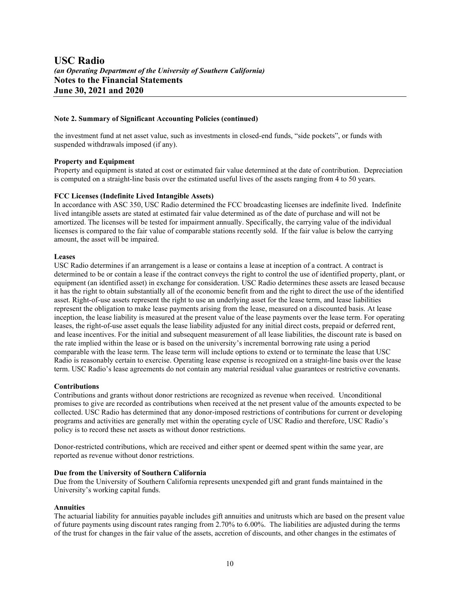#### **Note 2. Summary of Significant Accounting Policies (continued)**

the investment fund at net asset value, such as investments in closed-end funds, "side pockets", or funds with suspended withdrawals imposed (if any).

#### **Property and Equipment**

Property and equipment is stated at cost or estimated fair value determined at the date of contribution. Depreciation is computed on a straight-line basis over the estimated useful lives of the assets ranging from 4 to 50 years.

#### **FCC Licenses (Indefinite Lived Intangible Assets)**

In accordance with ASC 350, USC Radio determined the FCC broadcasting licenses are indefinite lived. Indefinite lived intangible assets are stated at estimated fair value determined as of the date of purchase and will not be amortized. The licenses will be tested for impairment annually. Specifically, the carrying value of the individual licenses is compared to the fair value of comparable stations recently sold. If the fair value is below the carrying amount, the asset will be impaired.

#### **Leases**

USC Radio determines if an arrangement is a lease or contains a lease at inception of a contract. A contract is determined to be or contain a lease if the contract conveys the right to control the use of identified property, plant, or equipment (an identified asset) in exchange for consideration. USC Radio determines these assets are leased because it has the right to obtain substantially all of the economic benefit from and the right to direct the use of the identified asset. Right-of-use assets represent the right to use an underlying asset for the lease term, and lease liabilities represent the obligation to make lease payments arising from the lease, measured on a discounted basis. At lease inception, the lease liability is measured at the present value of the lease payments over the lease term. For operating leases, the right-of-use asset equals the lease liability adjusted for any initial direct costs, prepaid or deferred rent, and lease incentives. For the initial and subsequent measurement of all lease liabilities, the discount rate is based on the rate implied within the lease or is based on the university's incremental borrowing rate using a period comparable with the lease term. The lease term will include options to extend or to terminate the lease that USC Radio is reasonably certain to exercise. Operating lease expense is recognized on a straight-line basis over the lease term. USC Radio's lease agreements do not contain any material residual value guarantees or restrictive covenants.

#### **Contributions**

Contributions and grants without donor restrictions are recognized as revenue when received. Unconditional promises to give are recorded as contributions when received at the net present value of the amounts expected to be collected. USC Radio has determined that any donor-imposed restrictions of contributions for current or developing programs and activities are generally met within the operating cycle of USC Radio and therefore, USC Radio's policy is to record these net assets as without donor restrictions.

Donor-restricted contributions, which are received and either spent or deemed spent within the same year, are reported as revenue without donor restrictions.

#### **Due from the University of Southern California**

Due from the University of Southern California represents unexpended gift and grant funds maintained in the University's working capital funds.

#### **Annuities**

The actuarial liability for annuities payable includes gift annuities and unitrusts which are based on the present value of future payments using discount rates ranging from 2.70% to 6.00%. The liabilities are adjusted during the terms of the trust for changes in the fair value of the assets, accretion of discounts, and other changes in the estimates of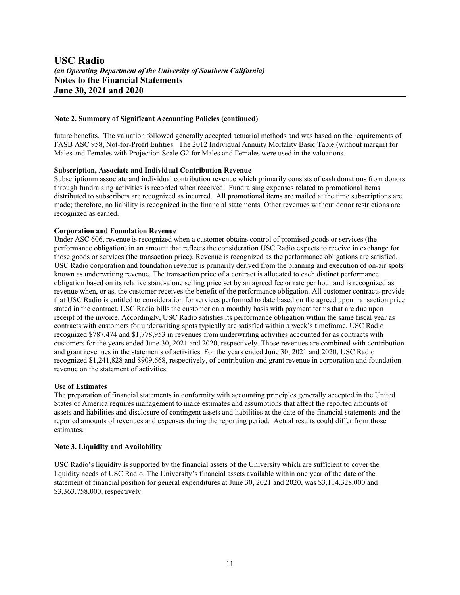#### **Note 2. Summary of Significant Accounting Policies (continued)**

future benefits. The valuation followed generally accepted actuarial methods and was based on the requirements of FASB ASC 958, Not-for-Profit Entities. The 2012 Individual Annuity Mortality Basic Table (without margin) for Males and Females with Projection Scale G2 for Males and Females were used in the valuations.

#### **Subscription, Associate and Individual Contribution Revenue**

Subscriptionm associate and individual contribution revenue which primarily consists of cash donations from donors through fundraising activities is recorded when received. Fundraising expenses related to promotional items distributed to subscribers are recognized as incurred. All promotional items are mailed at the time subscriptions are made; therefore, no liability is recognized in the financial statements. Other revenues without donor restrictions are recognized as earned.

#### **Corporation and Foundation Revenue**

Under ASC 606, revenue is recognized when a customer obtains control of promised goods or services (the performance obligation) in an amount that reflects the consideration USC Radio expects to receive in exchange for those goods or services (the transaction price). Revenue is recognized as the performance obligations are satisfied. USC Radio corporation and foundation revenue is primarily derived from the planning and execution of on-air spots known as underwriting revenue. The transaction price of a contract is allocated to each distinct performance obligation based on its relative stand-alone selling price set by an agreed fee or rate per hour and is recognized as revenue when, or as, the customer receives the benefit of the performance obligation. All customer contracts provide that USC Radio is entitled to consideration for services performed to date based on the agreed upon transaction price stated in the contract. USC Radio bills the customer on a monthly basis with payment terms that are due upon receipt of the invoice. Accordingly, USC Radio satisfies its performance obligation within the same fiscal year as contracts with customers for underwriting spots typically are satisfied within a week's timeframe. USC Radio recognized \$787,474 and \$1,778,953 in revenues from underwriting activities accounted for as contracts with customers for the years ended June 30, 2021 and 2020, respectively. Those revenues are combined with contribution and grant revenues in the statements of activities. For the years ended June 30, 2021 and 2020, USC Radio recognized \$1,241,828 and \$909,668, respectively, of contribution and grant revenue in corporation and foundation revenue on the statement of activities.

#### **Use of Estimates**

The preparation of financial statements in conformity with accounting principles generally accepted in the United States of America requires management to make estimates and assumptions that affect the reported amounts of assets and liabilities and disclosure of contingent assets and liabilities at the date of the financial statements and the reported amounts of revenues and expenses during the reporting period. Actual results could differ from those estimates.

#### **Note 3. Liquidity and Availability**

USC Radio's liquidity is supported by the financial assets of the University which are sufficient to cover the liquidity needs of USC Radio. The University's financial assets available within one year of the date of the statement of financial position for general expenditures at June 30, 2021 and 2020, was \$3,114,328,000 and \$3,363,758,000, respectively.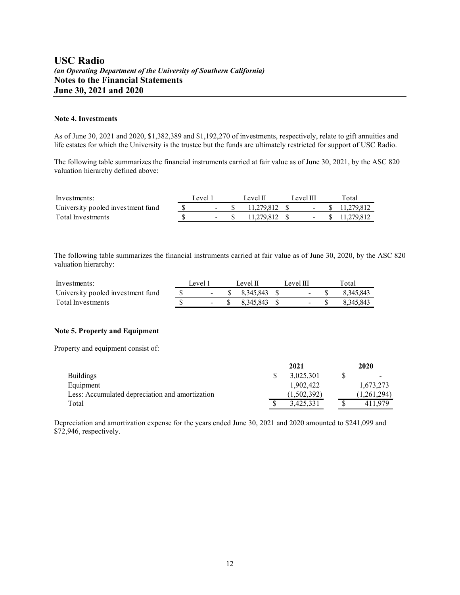#### **Note 4. Investments**

As of June 30, 2021 and 2020, \$1,382,389 and \$1,192,270 of investments, respectively, relate to gift annuities and life estates for which the University is the trustee but the funds are ultimately restricted for support of USC Radio.

The following table summarizes the financial instruments carried at fair value as of June 30, 2021, by the ASC 820 valuation hierarchy defined above:

| Investments:                      | Level 1 | Level II      | Level III | Total             |
|-----------------------------------|---------|---------------|-----------|-------------------|
| University pooled investment fund |         | 11.279.812 \$ |           | $-$ \$ 11.279.812 |
| Total Investments                 |         | 11.279.812 \$ |           | $-$ \$ 11.279.812 |

The following table summarizes the financial instruments carried at fair value as of June 30, 2020, by the ASC 820 valuation hierarchy:

| Investments:                      | Level 1 | Level II            | Level III     | Total     |
|-----------------------------------|---------|---------------------|---------------|-----------|
| University pooled investment fund |         | $-$ \$ 8.345,843 \$ | $ \mathbb{S}$ | 8.345.843 |
| Total Investments                 |         | $-$ \$ 8.345.843 \$ |               | 8.345.843 |

#### **Note 5. Property and Equipment**

Property and equipment consist of:

|                                                 | 2021        | 2020                     |
|-------------------------------------------------|-------------|--------------------------|
| <b>Buildings</b>                                | 3.025.301   | $\overline{\phantom{0}}$ |
| Equipment                                       | 1.902.422   | 1,673,273                |
| Less: Accumulated depreciation and amortization | (1,502,392) | (1,261,294)              |
| Total                                           | 3.425.331   | 411 979                  |

Depreciation and amortization expense for the years ended June 30, 2021 and 2020 amounted to \$241,099 and \$72,946, respectively.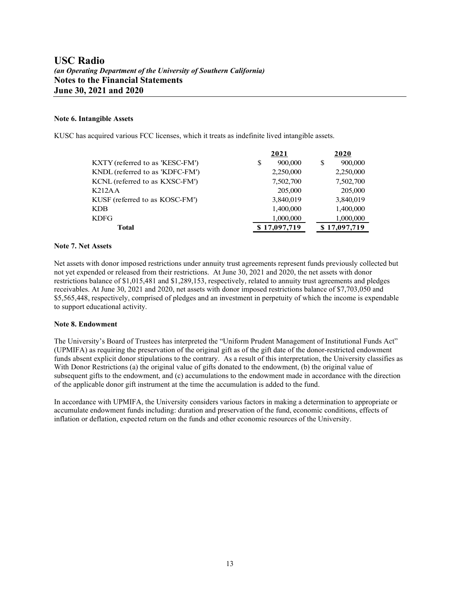#### **Note 6. Intangible Assets**

KUSC has acquired various FCC licenses, which it treats as indefinite lived intangible assets.

|                                 | 2021          | 2020         |
|---------------------------------|---------------|--------------|
| KXTY (referred to as 'KESC-FM') | 900,000<br>\$ | 900,000<br>S |
| KNDL (referred to as 'KDFC-FM') | 2,250,000     | 2,250,000    |
| KCNL (referred to as KXSC-FM')  | 7,502,700     | 7,502,700    |
| K212AA                          | 205,000       | 205,000      |
| KUSF (referred to as KOSC-FM')  | 3,840,019     | 3,840,019    |
| <b>KDB</b>                      | 1,400,000     | 1,400,000    |
| <b>KDFG</b>                     | 1,000,000     | 1,000,000    |
| <b>Total</b>                    | \$17,097,719  | \$17,097,719 |

#### **Note 7. Net Assets**

Net assets with donor imposed restrictions under annuity trust agreements represent funds previously collected but not yet expended or released from their restrictions. At June 30, 2021 and 2020, the net assets with donor restrictions balance of \$1,015,481 and \$1,289,153, respectively, related to annuity trust agreements and pledges receivables. At June 30, 2021 and 2020, net assets with donor imposed restrictions balance of \$7,703,050 and \$5,565,448, respectively, comprised of pledges and an investment in perpetuity of which the income is expendable to support educational activity.

#### **Note 8. Endowment**

The University's Board of Trustees has interpreted the "Uniform Prudent Management of Institutional Funds Act" (UPMIFA) as requiring the preservation of the original gift as of the gift date of the donor-restricted endowment funds absent explicit donor stipulations to the contrary. As a result of this interpretation, the University classifies as With Donor Restrictions (a) the original value of gifts donated to the endowment, (b) the original value of subsequent gifts to the endowment, and (c) accumulations to the endowment made in accordance with the direction of the applicable donor gift instrument at the time the accumulation is added to the fund.

In accordance with UPMIFA, the University considers various factors in making a determination to appropriate or accumulate endowment funds including: duration and preservation of the fund, economic conditions, effects of inflation or deflation, expected return on the funds and other economic resources of the University.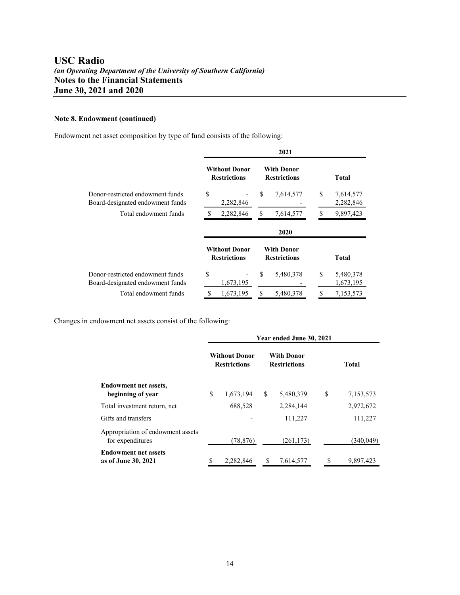### **Note 8. Endowment (continued)**

Endowment net asset composition by type of fund consists of the following:

|                                                                      |                                             |    | 2021                                     |    |                        |
|----------------------------------------------------------------------|---------------------------------------------|----|------------------------------------------|----|------------------------|
|                                                                      | <b>Without Donor</b><br><b>Restrictions</b> |    | <b>With Donor</b><br><b>Restrictions</b> |    | <b>Total</b>           |
| Donor-restricted endowment funds<br>Board-designated endowment funds | \$<br>2,282,846                             | S  | 7,614,577                                | \$ | 7,614,577<br>2,282,846 |
| Total endowment funds                                                | 2,282,846                                   | \$ | 7,614,577                                | S  | 9,897,423              |
|                                                                      |                                             |    | 2020                                     |    |                        |
|                                                                      | <b>Without Donor</b><br><b>Restrictions</b> |    | <b>With Donor</b><br><b>Restrictions</b> |    | Total                  |
| Donor-restricted endowment funds<br>Board-designated endowment funds | \$<br>1,673,195                             | \$ | 5,480,378                                | S  | 5,480,378<br>1,673,195 |
| Total endowment funds                                                | \$<br>1,673,195                             | \$ | 5,480,378                                | \$ | 7,153,573              |

Changes in endowment net assets consist of the following:

|                                                       | Year ended June 30, 2021 |                                             |   |                                          |   |              |  |  |
|-------------------------------------------------------|--------------------------|---------------------------------------------|---|------------------------------------------|---|--------------|--|--|
|                                                       |                          | <b>Without Donor</b><br><b>Restrictions</b> |   | <b>With Donor</b><br><b>Restrictions</b> |   | <b>Total</b> |  |  |
| <b>Endowment net assets,</b><br>beginning of year     | \$                       | 1,673,194                                   | S | 5,480,379                                | S | 7,153,573    |  |  |
| Total investment return, net                          |                          | 688,528                                     |   | 2,284,144                                |   | 2,972,672    |  |  |
| Gifts and transfers                                   |                          |                                             |   | 111,227                                  |   | 111,227      |  |  |
| Appropriation of endowment assets<br>for expenditures |                          | (78, 876)                                   |   | (261, 173)                               |   | (340,049)    |  |  |
| <b>Endowment net assets</b><br>as of June 30, 2021    | \$                       | 2,282,846                                   | S | 7,614,577                                | S | 9,897,423    |  |  |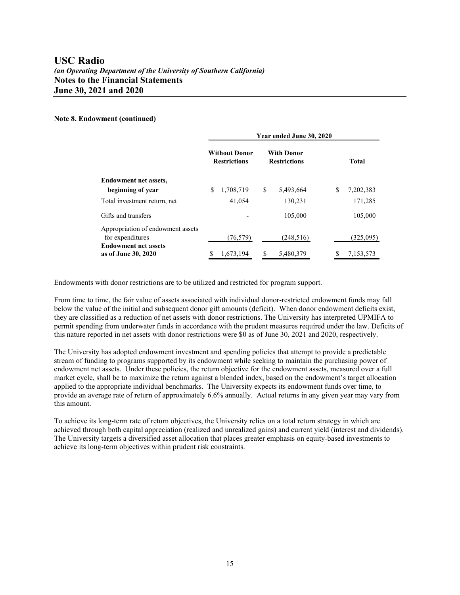#### **Note 8. Endowment (continued)**

|                                                       | Year ended June 30, 2020 |                                                                                         |    |            |   |  |              |  |  |
|-------------------------------------------------------|--------------------------|-----------------------------------------------------------------------------------------|----|------------|---|--|--------------|--|--|
|                                                       |                          | <b>Without Donor</b><br><b>With Donor</b><br><b>Restrictions</b><br><b>Restrictions</b> |    |            |   |  | <b>Total</b> |  |  |
| <b>Endowment net assets,</b>                          |                          |                                                                                         |    |            |   |  |              |  |  |
| beginning of year                                     | \$                       | 1,708,719                                                                               | \$ | 5,493,664  | S |  | 7,202,383    |  |  |
| Total investment return, net                          |                          | 41,054                                                                                  |    | 130,231    |   |  | 171,285      |  |  |
| Gifts and transfers                                   |                          |                                                                                         |    | 105,000    |   |  | 105,000      |  |  |
| Appropriation of endowment assets<br>for expenditures |                          | (76, 579)                                                                               |    | (248, 516) |   |  | (325,095)    |  |  |
| <b>Endowment net assets</b><br>as of June 30, 2020    | S                        | 1.673.194                                                                               | S  | 5,480,379  |   |  | 7,153,573    |  |  |

Endowments with donor restrictions are to be utilized and restricted for program support.

From time to time, the fair value of assets associated with individual donor-restricted endowment funds may fall below the value of the initial and subsequent donor gift amounts (deficit). When donor endowment deficits exist, they are classified as a reduction of net assets with donor restrictions. The University has interpreted UPMIFA to permit spending from underwater funds in accordance with the prudent measures required under the law. Deficits of this nature reported in net assets with donor restrictions were \$0 as of June 30, 2021 and 2020, respectively.

The University has adopted endowment investment and spending policies that attempt to provide a predictable stream of funding to programs supported by its endowment while seeking to maintain the purchasing power of endowment net assets. Under these policies, the return objective for the endowment assets, measured over a full market cycle, shall be to maximize the return against a blended index, based on the endowment's target allocation applied to the appropriate individual benchmarks. The University expects its endowment funds over time, to provide an average rate of return of approximately 6.6% annually. Actual returns in any given year may vary from this amount.

To achieve its long-term rate of return objectives, the University relies on a total return strategy in which are achieved through both capital appreciation (realized and unrealized gains) and current yield (interest and dividends). The University targets a diversified asset allocation that places greater emphasis on equity-based investments to achieve its long-term objectives within prudent risk constraints.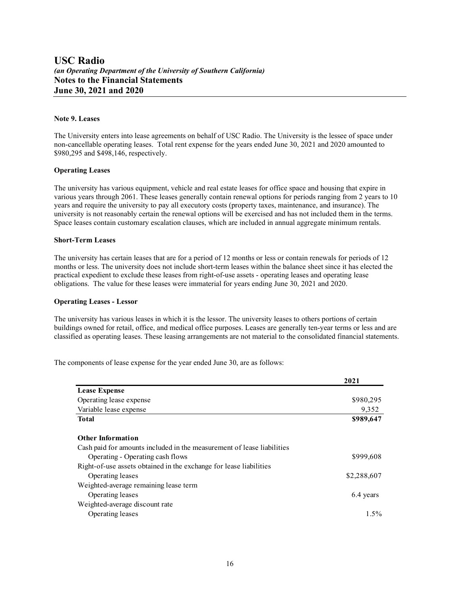#### **Note 9. Leases**

The University enters into lease agreements on behalf of USC Radio. The University is the lessee of space under non-cancellable operating leases. Total rent expense for the years ended June 30, 2021 and 2020 amounted to \$980,295 and \$498,146, respectively.

#### **Operating Leases**

The university has various equipment, vehicle and real estate leases for office space and housing that expire in various years through 2061. These leases generally contain renewal options for periods ranging from 2 years to 10 years and require the university to pay all executory costs (property taxes, maintenance, and insurance). The university is not reasonably certain the renewal options will be exercised and has not included them in the terms. Space leases contain customary escalation clauses, which are included in annual aggregate minimum rentals.

#### **Short-Term Leases**

The university has certain leases that are for a period of 12 months or less or contain renewals for periods of 12 months or less. The university does not include short-term leases within the balance sheet since it has elected the practical expedient to exclude these leases from right-of-use assets - operating leases and operating lease obligations. The value for these leases were immaterial for years ending June 30, 2021 and 2020.

#### **Operating Leases - Lessor**

The university has various leases in which it is the lessor. The university leases to others portions of certain buildings owned for retail, office, and medical office purposes. Leases are generally ten-year terms or less and are classified as operating leases. These leasing arrangements are not material to the consolidated financial statements.

The components of lease expense for the year ended June 30, are as follows:

|                                                                        | 2021        |
|------------------------------------------------------------------------|-------------|
| <b>Lease Expense</b>                                                   |             |
| Operating lease expense                                                | \$980,295   |
| Variable lease expense                                                 | 9,352       |
| Total                                                                  | \$989,647   |
| <b>Other Information</b>                                               |             |
| Cash paid for amounts included in the measurement of lease liabilities |             |
| Operating - Operating cash flows                                       | \$999,608   |
| Right-of-use assets obtained in the exchange for lease liabilities     |             |
| Operating leases                                                       | \$2,288,607 |
| Weighted-average remaining lease term                                  |             |
| Operating leases                                                       | 6.4 years   |
| Weighted-average discount rate                                         |             |
| Operating leases                                                       | $1.5\%$     |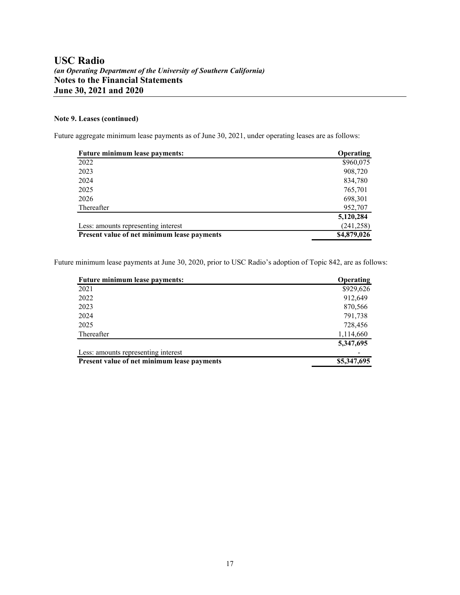### **Note 9. Leases (continued)**

Future aggregate minimum lease payments as of June 30, 2021, under operating leases are as follows:

| <b>Future minimum lease payments:</b>       | <b>Operating</b> |
|---------------------------------------------|------------------|
| 2022                                        | \$960,075        |
| 2023                                        | 908,720          |
| 2024                                        | 834,780          |
| 2025                                        | 765,701          |
| 2026                                        | 698,301          |
| Thereafter                                  | 952,707          |
|                                             | 5,120,284        |
| Less: amounts representing interest         | (241, 258)       |
| Present value of net minimum lease payments | \$4,879,026      |

Future minimum lease payments at June 30, 2020, prior to USC Radio's adoption of Topic 842, are as follows:

| <b>Future minimum lease payments:</b>       | <b>Operating</b> |
|---------------------------------------------|------------------|
| 2021                                        | \$929,626        |
| 2022                                        | 912,649          |
| 2023                                        | 870,566          |
| 2024                                        | 791,738          |
| 2025                                        | 728,456          |
| Thereafter                                  | 1,114,660        |
|                                             | 5,347,695        |
| Less: amounts representing interest         |                  |
| Present value of net minimum lease payments | \$5,347,695      |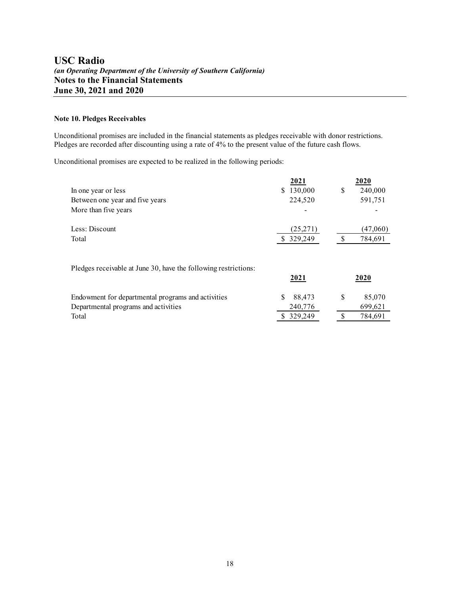#### **Note 10. Pledges Receivables**

Unconditional promises are included in the financial statements as pledges receivable with donor restrictions. Pledges are recorded after discounting using a rate of 4% to the present value of the future cash flows.

Unconditional promises are expected to be realized in the following periods:

|                                                                 | 2021        | 2020          |
|-----------------------------------------------------------------|-------------|---------------|
| In one year or less                                             | \$130,000   | \$<br>240,000 |
| Between one year and five years                                 | 224,520     | 591,751       |
| More than five years                                            |             |               |
| Less: Discount                                                  | (25, 271)   | (47,060)      |
| Total                                                           | 329,249     | \$<br>784,691 |
| Pledges receivable at June 30, have the following restrictions: | <u>2021</u> | 2020          |
| Endowment for departmental programs and activities              | S<br>88,473 | \$<br>85,070  |
| Departmental programs and activities                            | 240,776     | 699,621       |
| Total                                                           | \$ 329,249  | 784,691       |
|                                                                 |             |               |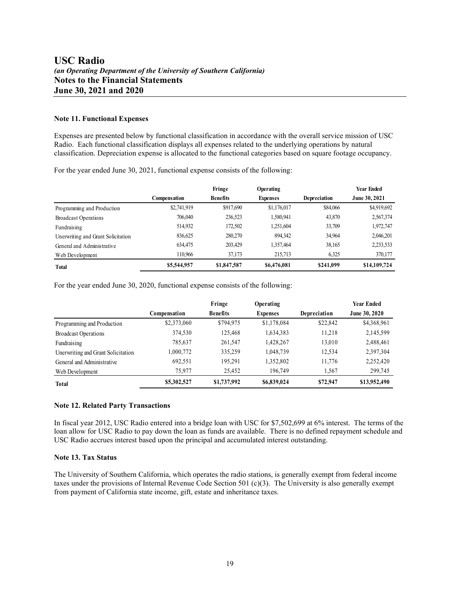#### **Note 11. Functional Expenses**

Expenses are presented below by functional classification in accordance with the overall service mission of USC Radio. Each functional classification displays all expenses related to the underlying operations by natural classification. Depreciation expense is allocated to the functional categories based on square footage occupancy.

For the year ended June 30, 2021, functional expense consists of the following:

|                                    |                     | Fringe          | Operating       |              | Year Ended    |
|------------------------------------|---------------------|-----------------|-----------------|--------------|---------------|
|                                    | <b>Compensation</b> | <b>Benefits</b> | <b>Expenses</b> | Depreciation | June 30, 2021 |
| Programming and Production         | \$2,741,919         | \$917,690       | \$1,176,017     | \$84,066     | \$4,919,692   |
| <b>Broadcast Operations</b>        | 706,040             | 236,523         | 1,580,941       | 43,870       | 2,567,374     |
| Fundraising                        | 514.932             | 172.502         | 1,251,604       | 33,709       | 1,972,747     |
| Unerwriting and Grant Solicitation | 836,625             | 280,270         | 894,342         | 34,964       | 2,046,201     |
| General and Administrative         | 634,475             | 203,429         | 1,357,464       | 38,165       | 2,233,533     |
| Web Development                    | 110,966             | 37.173          | 215,713         | 6,325        | 370,177       |
| <b>Total</b>                       | \$5,544,957         | \$1,847,587     | \$6,476,081     | \$241,099    | \$14,109,724  |

For the year ended June 30, 2020, functional expense consists of the following:

|                                    |              | Fringe          | <b>Operating</b> |              | <b>Year Ended</b> |
|------------------------------------|--------------|-----------------|------------------|--------------|-------------------|
|                                    | Compensation | <b>Benefits</b> | <b>Expenses</b>  | Depreciation | June 30, 2020     |
| Programming and Production         | \$2,373,060  | \$794,975       | \$1,178,084      | \$22,842     | \$4,368,961       |
| <b>Broadcast Operations</b>        | 374,530      | 125,468         | 1,634,383        | 11.218       | 2,145,599         |
| Fundraising                        | 785,637      | 261,547         | 1,428,267        | 13,010       | 2,488,461         |
| Unerwriting and Grant Solicitation | 1,000,772    | 335,259         | 1,048,739        | 12,534       | 2,397,304         |
| General and Administrative         | 692,551      | 195.291         | 1,352,802        | 11,776       | 2,252,420         |
| Web Development                    | 75,977       | 25,452          | 196,749          | 1,567        | 299,745           |
| <b>Total</b>                       | \$5,302,527  | \$1,737,992     | \$6,839,024      | \$72,947     | \$13,952,490      |

#### **Note 12. Related Party Transactions**

In fiscal year 2012, USC Radio entered into a bridge loan with USC for \$7,502,699 at 6% interest. The terms of the loan allow for USC Radio to pay down the loan as funds are available. There is no defined repayment schedule and USC Radio accrues interest based upon the principal and accumulated interest outstanding.

#### **Note 13. Tax Status**

The University of Southern California, which operates the radio stations, is generally exempt from federal income taxes under the provisions of Internal Revenue Code Section 501 (c)(3). The University is also generally exempt from payment of California state income, gift, estate and inheritance taxes.